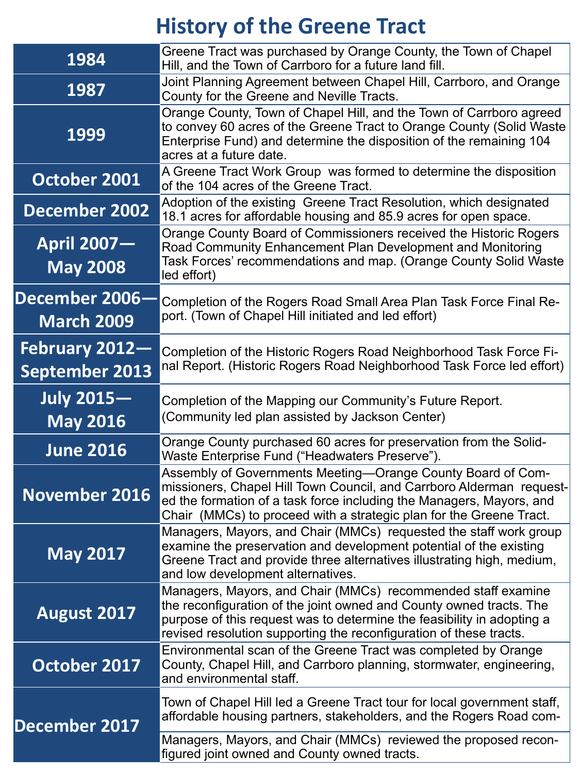# **History of the Greene Tract**

| <b>April 2007-</b><br><b>May 2008</b> | UNIYU UUUNIY DUUNU UN UUNINIDONINIDI UUUNUU INUUNIU NUYUID<br><b>Road Community Enhancement Plan Development and Monitoring</b><br>Task Forces' recommendations and map. (Orange County Solid Waste<br>led effort)                                                                  |
|---------------------------------------|-------------------------------------------------------------------------------------------------------------------------------------------------------------------------------------------------------------------------------------------------------------------------------------|
| December 2006-<br><b>March 2009</b>   | Completion of the Rogers Road Small Area Plan Task Force Final Re-<br>port. (Town of Chapel Hill initiated and led effort)                                                                                                                                                          |
| February 2012-<br>September 2013      | Completion of the Historic Rogers Road Neighborhood Task Force Fi-<br>nal Report. (Historic Rogers Road Neighborhood Task Force led effort)                                                                                                                                         |
| <b>July 2015–</b><br><b>May 2016</b>  | Completion of the Mapping our Community's Future Report.<br>(Community led plan assisted by Jackson Center)                                                                                                                                                                         |
| <b>June 2016</b>                      | Orange County purchased 60 acres for preservation from the Solid-<br>Waste Enterprise Fund ("Headwaters Preserve").                                                                                                                                                                 |
| November 2016                         | Assembly of Governments Meeting—Orange County Board of Com-<br>Imissioners, Chapel Hill Town Council, and Carrboro Alderman request-<br>ed the formation of a task force including the Managers, Mayors, and<br>Chair (MMCs) to proceed with a strategic plan for the Greene Tract. |
| <b>May 2017</b>                       | Managers, Mayors, and Chair (MMCs) requested the staff work group<br>examine the preservation and development potential of the existing<br>Greene Tract and provide three alternatives illustrating high, medium,<br>and low development alternatives.                              |
| August 2017                           | Managers, Mayors, and Chair (MMCs) recommended staff examine<br>the reconfiguration of the joint owned and County owned tracts. The<br>purpose of this request was to determine the feasibility in adopting a<br>revised resolution supporting the reconfiguration of these tracts. |
| October 2017                          | Environmental scan of the Greene Tract was completed by Orange<br>County, Chapel Hill, and Carrboro planning, stormwater, engineering,<br>and environmental staff.                                                                                                                  |
| December 2017                         | Town of Chapel Hill led a Greene Tract tour for local government staff,<br>affordable housing partners, stakeholders, and the Rogers Road com-                                                                                                                                      |
|                                       |                                                                                                                                                                                                                                                                                     |

| 1984          | Greene Tract was purchased by Orange County, the Town of Chapel<br>Hill, and the Town of Carrboro for a future land fill.                                                                                                                     |
|---------------|-----------------------------------------------------------------------------------------------------------------------------------------------------------------------------------------------------------------------------------------------|
| 1987          | Joint Planning Agreement between Chapel Hill, Carrboro, and Orange<br>County for the Greene and Neville Tracts.                                                                                                                               |
| 1999          | Orange County, Town of Chapel Hill, and the Town of Carrboro agreed<br>to convey 60 acres of the Greene Tract to Orange County (Solid Waste<br>Enterprise Fund) and determine the disposition of the remaining 104<br>acres at a future date. |
| October 2001  | A Greene Tract Work Group was formed to determine the disposition<br>lof the 104 acres of the Greene Tract.                                                                                                                                   |
| December 2002 | Adoption of the existing Greene Tract Resolution, which designated<br>18.1 acres for affordable housing and 85.9 acres for open space.                                                                                                        |
| A WHI JAAT    | <b>Orange County Board of Commissioners received the Historic Rogers</b>                                                                                                                                                                      |

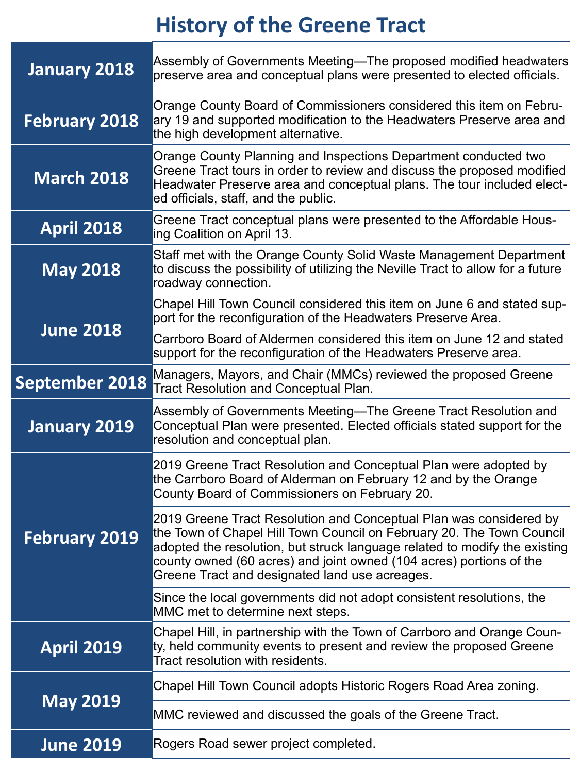| January 2018      | Assembly of Governments Meeting—The proposed modified headwaters<br>preserve area and conceptual plans were presented to elected officials.                                                                                                                     |
|-------------------|-----------------------------------------------------------------------------------------------------------------------------------------------------------------------------------------------------------------------------------------------------------------|
| February 2018     | Orange County Board of Commissioners considered this item on Febru-<br>ary 19 and supported modification to the Headwaters Preserve area and<br>the high development alternative.                                                                               |
| <b>March 2018</b> | Orange County Planning and Inspections Department conducted two<br>Greene Tract tours in order to review and discuss the proposed modified  <br>Headwater Preserve area and conceptual plans. The tour included elect-<br>led officials, staff, and the public. |
| <b>April 2018</b> | Greene Tract conceptual plans were presented to the Affordable Hous-<br>ing Coalition on April 13.                                                                                                                                                              |

| <b>May 2018</b>  | Staff met with the Orange County Solid Waste Management Department  <br>to discuss the possibility of utilizing the Neville Tract to allow for a future<br>roadway connection. |
|------------------|--------------------------------------------------------------------------------------------------------------------------------------------------------------------------------|
| <b>June 2018</b> | Chapel Hill Town Council considered this item on June 6 and stated sup-<br>port for the reconfiguration of the Headwaters Preserve Area.                                       |
|                  | Carrboro Board of Aldermen considered this item on June 12 and stated<br>support for the reconfiguration of the Headwaters Preserve area.                                      |
|                  | September 2018 Managers, Mayors, and Chair (MMCs) reviewed the proposed Greene September 2018 Tract Resolution and Conceptual Plan.                                            |
| January 2019     | Assembly of Governments Meeting—The Greene Tract Resolution and<br>Conceptual Plan were presented. Elected officials stated support for the<br>resolution and conceptual plan. |
|                  | 2019 Greene Tract Resolution and Conceptual Plan were adopted by<br>the Carrboro Board of Alderman on February 12 and by the Orange                                            |

|                   | County Board of Commissioners on February 20.                                                                                                                                                                                                                                                                                                      |
|-------------------|----------------------------------------------------------------------------------------------------------------------------------------------------------------------------------------------------------------------------------------------------------------------------------------------------------------------------------------------------|
| February 2019     | 2019 Greene Tract Resolution and Conceptual Plan was considered by<br>the Town of Chapel Hill Town Council on February 20. The Town Council<br>adopted the resolution, but struck language related to modify the existing<br>county owned (60 acres) and joint owned (104 acres) portions of the<br>Greene Tract and designated land use acreages. |
|                   | Since the local governments did not adopt consistent resolutions, the<br>MMC met to determine next steps.                                                                                                                                                                                                                                          |
| <b>April 2019</b> | Chapel Hill, in partnership with the Town of Carrboro and Orange Coun-<br>ty, held community events to present and review the proposed Greene<br>Tract resolution with residents.                                                                                                                                                                  |
|                   | Chapel Hill Town Council adopts Historic Rogers Road Area zoning.                                                                                                                                                                                                                                                                                  |
| <b>May 2019</b>   | MMC reviewed and discussed the goals of the Greene Tract.                                                                                                                                                                                                                                                                                          |

### **June 2019** Rogers Road sewer project completed.

# **History of the Greene Tract**